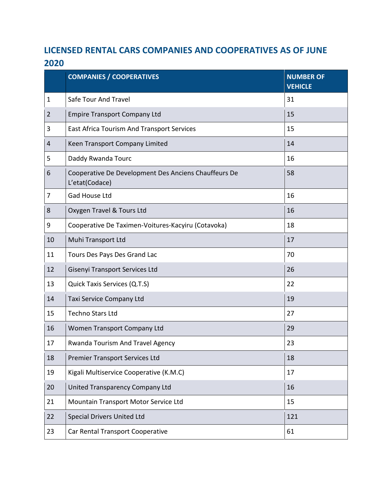## **LICENSED RENTAL CARS COMPANIES AND COOPERATIVES AS OF JUNE**

|                | <b>COMPANIES / COOPERATIVES</b>                                        | <b>NUMBER OF</b><br><b>VEHICLE</b> |
|----------------|------------------------------------------------------------------------|------------------------------------|
| $\mathbf{1}$   | Safe Tour And Travel                                                   | 31                                 |
| $\overline{2}$ | <b>Empire Transport Company Ltd</b>                                    | 15                                 |
| 3              | East Africa Tourism And Transport Services                             | 15                                 |
| 4              | Keen Transport Company Limited                                         | 14                                 |
| 5              | Daddy Rwanda Tourc                                                     | 16                                 |
| 6              | Cooperative De Development Des Anciens Chauffeurs De<br>L'etat(Codace) | 58                                 |
| 7              | <b>Gad House Ltd</b>                                                   | 16                                 |
| 8              | Oxygen Travel & Tours Ltd                                              | 16                                 |
| 9              | Cooperative De Taximen-Voitures-Kacyiru (Cotavoka)                     | 18                                 |
| 10             | Muhi Transport Ltd                                                     | 17                                 |
| 11             | Tours Des Pays Des Grand Lac                                           | 70                                 |
| 12             | Gisenyi Transport Services Ltd                                         | 26                                 |
| 13             | Quick Taxis Services (Q.T.S)                                           | 22                                 |
| 14             | Taxi Service Company Ltd                                               | 19                                 |
| 15             | <b>Techno Stars Ltd</b>                                                | 27                                 |
| 16             | Women Transport Company Ltd                                            | 29                                 |
| 17             | Rwanda Tourism And Travel Agency                                       | 23                                 |
| 18             | <b>Premier Transport Services Ltd</b>                                  | 18                                 |
| 19             | Kigali Multiservice Cooperative (K.M.C)                                | 17                                 |
| 20             | United Transparency Company Ltd                                        | 16                                 |
| 21             | Mountain Transport Motor Service Ltd                                   | 15                                 |
| 22             | <b>Special Drivers United Ltd</b>                                      | 121                                |
| 23             | Car Rental Transport Cooperative                                       | 61                                 |